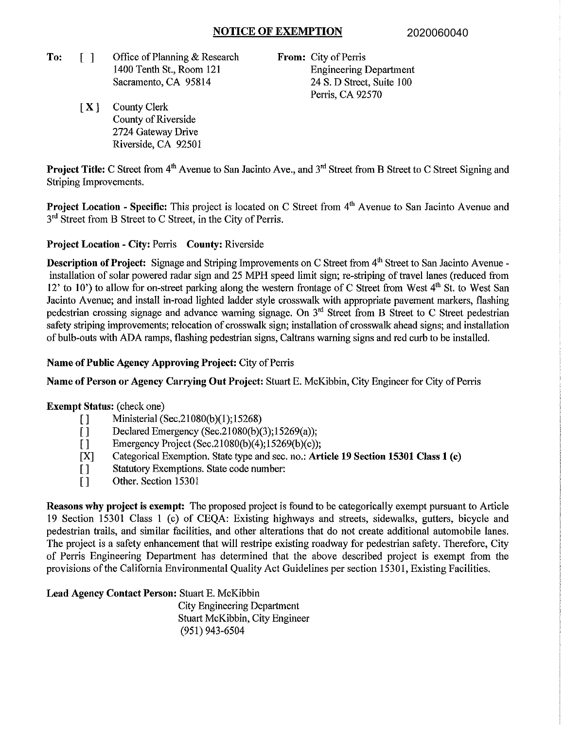## **NOTICE OF EXEMPTION**

**To:**  [ **l** Office of Planning & Research 1400 Tenth St., Room 121 Sacramento, CA 95814

**From:** City of Perris Engineering Department 24 S. D Street, Suite 100 Perris, CA 92570

[ **X** ] County Clerk County of Riverside 2724 Gateway Drive Riverside, CA 9250 I

**Project Title:** C Street from 4<sup>th</sup> Avenue to San Jacinto Ave., and 3<sup>rd</sup> Street from B Street to C Street Signing and Striping Improvements.

**Project Location - Specific:** This project is located on C Street from 4<sup>th</sup> Avenue to San Jacinto Avenue and 3<sup>rd</sup> Street from B Street to C Street, in the City of Perris.

## **Project Location - City:** Perris **County:** Riverside

**Description of Project:** Signage and Striping Improvements on C Street from 4<sup>th</sup> Street to San Jacinto Avenue installation of solar powered radar sign and 25 MPH speed limit sign; re-striping of travel lanes (reduced from 12' to 10') to allow for on-street parking along the western frontage of C Street from West  $4<sup>th</sup>$  St. to West San Jacinto Avenue; and install in-road lighted ladder style crosswalk with appropriate pavement markers, flashing pedestrian crossing signage and advance warning signage. On 3'd Street from **B** Street to C Street pedestrian safety striping improvements; relocation of crosswalk sign; installation of crosswalk ahead signs; and installation of bulb-outs with **ADA** ramps, flashing pedestrian signs, Caltrans warning signs and red curb to be installed.

#### **Name of Public Agency Approving Project:** City of Perris

**Name of Person or Agency Carrying Out Project:** Stuart E. McKibbin, City Engineer for City of Perris

#### **Exempt Status:** (check one)

- [] Ministerial (Sec.21080(b)(1);15268)
- [] Declared Emergency (Sec.21080(b)(3);15269(a));
- [] Emergency Project (Sec.21080(b)(4);15269(b)(c));
- [X] Categorical Exemption. State type and sec. no.: **Article 19 Section 15301 Class 1 (c)**
- [ ] Statutory Exemptions. State code number:
- [] Other. Section 15301

**Reasons why project is exempt:** The proposed project is found to be categorically exempt pursuant to Article 19 Section 15301 Class I (c) of CEQA: Existing highways and streets, sidewalks, gutters, bicycle and pedestrian trails, and similar facilities, and other alterations that do not create additional automobile lanes. The project is a safety enhancement that will restripe existing roadway for pedestrian safety. Therefore, City of Perris Engineering Department has determined that the above described project is exempt from the provisions of the California Environmental Quality Act Guidelines per section 15301, Existing Facilities.

## **Lead Agency Contact Person:** Stuart E. McKibbin

City Engineering Department Stuatt McKibbin, City Engineer (951) 943-6504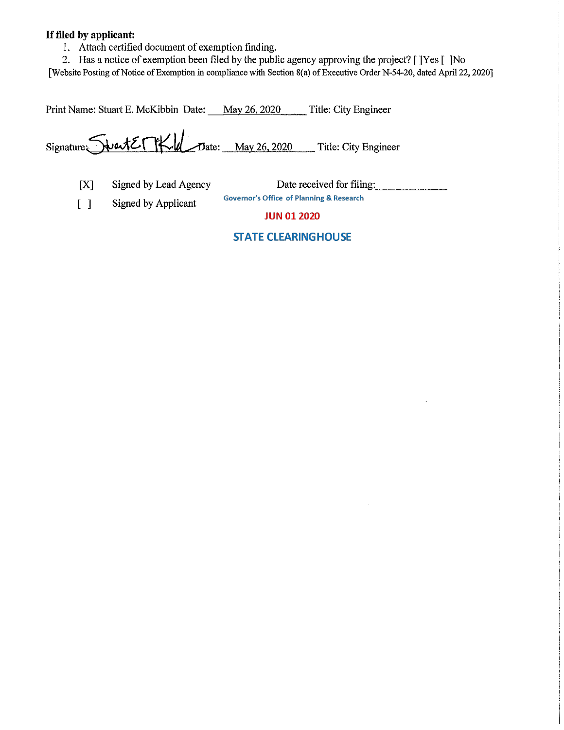## **If filed by applicant:**

1. Attach certified document of exemption finding.

2. Has a notice of exemption been filed by the public agency approving the project? [ ]Yes [ ]No

[Website Posting of Notice of Exemption in compliance with Section 8(a) of Executive Order N-54-20, dated April 22, 2020]

Print Name: Stuart E. McKibbin Date: May 26, 2020 \_\_ Title: City Engineer

 $Signature$  $\sqrt{\frac{\text{water}}{\text{M}}$   $\frac{\text{water}}{\text{L}}$   $\frac{\text{May 26, 2020}}{\text{M}}$  Title: City Engineer

[X] Signed by Lead Agency Date received for filing:

[ ] Signed by Applicant

**JUN 01 2020** 

## **STATE CLEARINGHOUSE**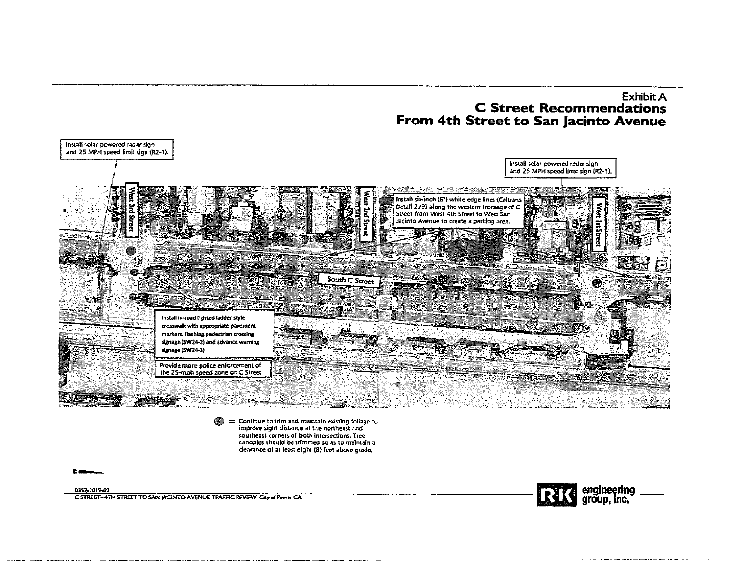# **Exhibit A C Street Recommendations** From 4th Street to San Jacinto Avenue



= Continue to trim and maintain existing foliage to improve sight distance at the northeast and southeast corners of both intersections. Treecanopies should be trimmed so as to maintain a dearance of at least eight (8) feet above grade.

0352-2019-07 C STREET-4TH STREET TO SAN JACINTO AVENUE TRAFFIC REVEW. City of Perrix CA